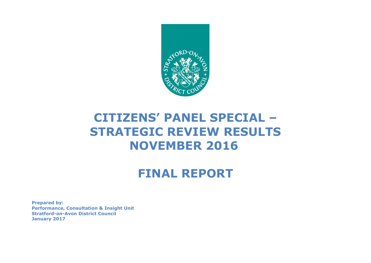

# **CITIZENS' PANEL SPECIAL – STRATEGIC REVIEW RESULTS NOVEMBER 2016**

# **FINAL REPORT**

**Prepared by: Performance, Consultation & Insight Unit Stratford-on-Avon District Council January 2017**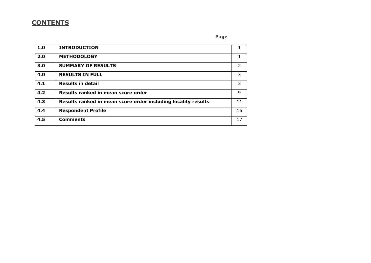# **CONTENTS**

## **Page Page**

| 1.0 | <b>INTRODUCTION</b>                                           |    |
|-----|---------------------------------------------------------------|----|
| 2.0 | <b>METHODOLOGY</b>                                            |    |
| 3.0 | <b>SUMMARY OF RESULTS</b>                                     | 2  |
| 4.0 | <b>RESULTS IN FULL</b>                                        | 3  |
| 4.1 | <b>Results in detail</b>                                      | 3  |
| 4.2 | Results ranked in mean score order                            | 9  |
| 4.3 | Results ranked in mean score order including locality results | 11 |
| 4.4 | <b>Respondent Profile</b>                                     | 16 |
| 4.5 | <b>Comments</b>                                               | 17 |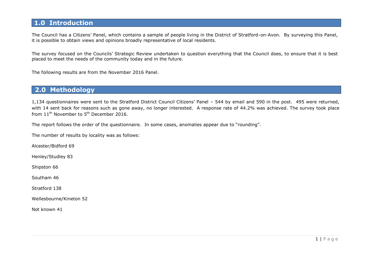# **1.0 Introduction**

The Council has a Citizens' Panel, which contains a sample of people living in the District of Stratford-on-Avon. By surveying this Panel, it is possible to obtain views and opinions broadly representative of local residents.

The survey focused on the Councils' Strategic Review undertaken to question everything that the Council does, to ensure that it is best placed to meet the needs of the community today and in the future.

The following results are from the November 2016 Panel.

## **2.0 Methodology**

1,134 questionnaires were sent to the Stratford District Council Citizens' Panel – 544 by email and 590 in the post. 495 were returned, with 14 sent back for reasons such as gone away, no longer interested. A response rate of 44.2% was achieved. The survey took place from  $11^{\text{th}}$  November to  $5^{\text{th}}$  December 2016.

The report follows the order of the questionnaire. In some cases, anomalies appear due to "rounding".

The number of results by locality was as follows:

Alcester/Bidford 69

Henley/Studley 83

Shipston 66

Southam 46

Stratford 138

Wellesbourne/Kineton 52

Not known 41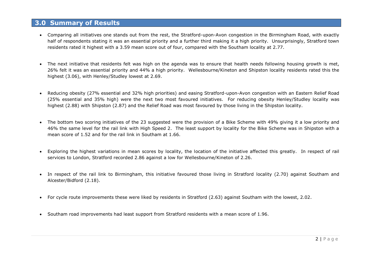## **3.0 Summary of Results**

- Comparing all initiatives one stands out from the rest, the Stratford-upon-Avon congestion in the Birmingham Road, with exactly half of respondents stating it was an essential priority and a further third making it a high priority. Unsurprisingly, Stratford town residents rated it highest with a 3.59 mean score out of four, compared with the Southam locality at 2.77.
- The next initiative that residents felt was high on the agenda was to ensure that health needs following housing growth is met, 26% felt it was an essential priority and 44% a high priority. Wellesbourne/Kineton and Shipston locality residents rated this the highest (3.06), with Henley/Studley lowest at 2.69.
- Reducing obesity (27% essential and 32% high priorities) and easing Stratford-upon-Avon congestion with an Eastern Relief Road (25% essential and 35% high) were the next two most favoured initiatives. For reducing obesity Henley/Studley locality was highest (2.88) with Shipston (2.87) and the Relief Road was most favoured by those living in the Shipston locality.
- The bottom two scoring initiatives of the 23 suggested were the provision of a Bike Scheme with 49% giving it a low priority and 46% the same level for the rail link with High Speed 2. The least support by locality for the Bike Scheme was in Shipston with a mean score of 1.52 and for the rail link in Southam at 1.66.
- Exploring the highest variations in mean scores by locality, the location of the initiative affected this greatly. In respect of rail services to London, Stratford recorded 2.86 against a low for Wellesbourne/Kineton of 2.26.
- In respect of the rail link to Birmingham, this initiative favoured those living in Stratford locality (2.70) against Southam and Alcester/Bidford (2.18).
- For cycle route improvements these were liked by residents in Stratford (2.63) against Southam with the lowest, 2.02.
- Southam road improvements had least support from Stratford residents with a mean score of 1.96.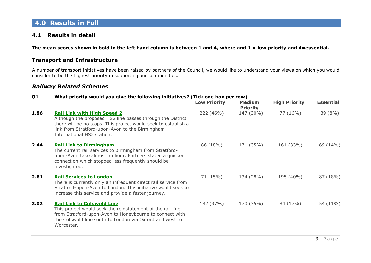# **4.0 Results in Full**

## **4.1 Results in detail**

**The mean scores shown in bold in the left hand column is between 1 and 4, where and 1 = low priority and 4=essential.** 

## **Transport and Infrastructure**

A number of transport initiatives have been raised by partners of the Council, we would like to understand your views on which you would consider to be the highest priority in supporting our communities.

## *Railway Related Schemes*

#### **Q1 What priority would you give the following initiatives? (Tick one box per row)**

|      |                                                                                                                                                                                                                                                     | <b>Low Priority</b> | <b>Medium</b><br><b>Priority</b> | <b>High Priority</b> | <b>Essential</b> |
|------|-----------------------------------------------------------------------------------------------------------------------------------------------------------------------------------------------------------------------------------------------------|---------------------|----------------------------------|----------------------|------------------|
| 1.86 | <b>Rail Link with High Speed 2</b><br>Although the proposed HS2 line passes through the District<br>there will be no stops. This project would seek to establish a<br>link from Stratford-upon-Avon to the Birmingham<br>International HS2 station. | 222 (46%)           | 147 (30%)                        | 77 (16%)             | 39 (8%)          |
| 2.44 | <b>Rail Link to Birmingham</b><br>The current rail services to Birmingham from Stratford-<br>upon-Avon take almost an hour. Partners stated a quicker<br>connection which stopped less frequently should be<br>investigated.                        | 86 (18%)            | 171 (35%)                        | 161 (33%)            | 69 (14%)         |
| 2.61 | <b>Rail Services to London</b><br>There is currently only an infrequent direct rail service from<br>Stratford-upon-Avon to London. This initiative would seek to<br>increase this service and provide a faster journey.                             | 71 (15%)            | 134 (28%)                        | 195 (40%)            | 87 (18%)         |
| 2.02 | <b>Rail Link to Cotswold Line</b><br>This project would seek the reinstatement of the rail line<br>from Stratford-upon-Avon to Honeybourne to connect with<br>the Cotswold line south to London via Oxford and west to<br>Worcester.                | 182 (37%)           | 170 (35%)                        | 84 (17%)             | 54 (11%)         |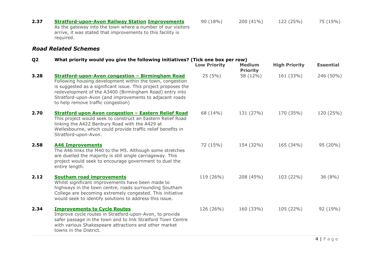| 2.37 | <b>Stratford-upon-Avon Railway Station Improvements</b><br>As the gateway into the town where a number of our visitors<br>arrive, it was stated that improvements to this facility is<br>required. | 90(18%) | 200 (41%) | 122 (25%) | 75 (15%) |
|------|----------------------------------------------------------------------------------------------------------------------------------------------------------------------------------------------------|---------|-----------|-----------|----------|
|      | <b>Road Related Schemes</b>                                                                                                                                                                        |         |           |           |          |

#### **Q2 What priority would you give the following initiatives? (Tick one box per row) Low Priority Medium Priority High Priority Essential 3.28 Stratford-upon-Avon congestion – Birmingham Road** Following housing development within the town, congestion is suggested as a significant issue. This project proposes the redevelopment of the A3400 (Birmingham Road) entry into Stratford-upon-Avon (and improvements to adjacent roads to help remove traffic congestion) 25 (5%) 58 (12%) 161 (33%) 246 (50%) **2.70 Stratford upon Avon congestion – Eastern Relief Road**  This project would seek to construct an Eastern Relief Road linking the A422 Banbury Road with the A429 at Wellesbourne, which could provide traffic relief benefits in Stratford-upon-Avon. 68 (14%) 131 (27%) 170 (35%) 120 (25%) **2.58 A46 Improvements** The A46 links the M40 to the M5. Although some stretches are duelled the majority is still single carriageway. This project would seek to encourage government to duel the entire length. 72 (15%) 154 (32%) 165 (34%) 95 (20%) **2.12 Southam road improvements** Whilst significant improvements have been made to highways in the town centre, roads surrounding Southam College are becoming extremely congested. This initiative would seek to identify solutions to address this issue. 119 (26%) 208 (45%) 103 (22%) 36 (8%) **2.34 Improvements to Cycle Routes**  Improve cycle routes in Stratford-upon-Avon, to provide safer passage in the town and to link Stratford Town Centre with various Shakespeare attractions and other market towns in the District. 126 (26%) 160 (33%) 105 (22%) 92 (19%)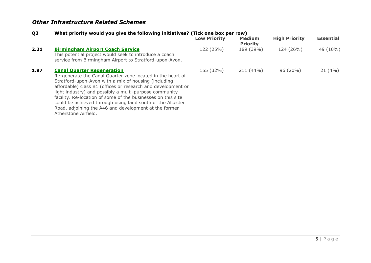# *Other Infrastructure Related Schemes*

## **Q3 What priority would you give the following initiatives? (Tick one box per row)**

|      |                                                                                                                                                                                                                                                                                                                                                                                                                                                                                                  | <b>Low Priority</b> | <b>Medium</b><br><b>Priority</b> | <b>High Priority</b> | <b>Essential</b> |
|------|--------------------------------------------------------------------------------------------------------------------------------------------------------------------------------------------------------------------------------------------------------------------------------------------------------------------------------------------------------------------------------------------------------------------------------------------------------------------------------------------------|---------------------|----------------------------------|----------------------|------------------|
| 2.21 | <b>Birmingham Airport Coach Service</b><br>This potential project would seek to introduce a coach<br>service from Birmingham Airport to Stratford-upon-Avon.                                                                                                                                                                                                                                                                                                                                     | 122 (25%)           | 189 (39%)                        | 124 (26%)            | 49 (10%)         |
| 1.97 | <b>Canal Quarter Regeneration</b><br>Re-generate the Canal Quarter zone located in the heart of<br>Stratford-upon-Avon with a mix of housing (including<br>affordable) class B1 (offices or research and development or<br>light industry) and possibly a multi-purpose community<br>facility. Re-location of some of the businesses on this site<br>could be achieved through using land south of the Alcester<br>Road, adjoining the A46 and development at the former<br>Atherstone Airfield. | 155 (32%)           | 211 (44%)                        | 96 (20%)             | 21(4%)           |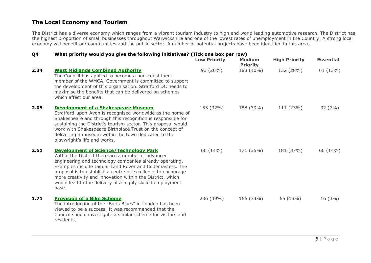## **The Local Economy and Tourism**

The District has a diverse economy which ranges from a vibrant tourism industry to high end world leading automotive research. The District has the highest proportion of small businesses throughout Warwickshire and one of the lowest rates of unemployment in the Country. A strong local economy will benefit our communities and the public sector. A number of potential projects have been identified in this area.

## **Q4 What priority would you give the following initiatives? (Tick one box per row)**

|      |                                                                                                                                                                                                                                                                                                                                                                                                                              | <b>Low Priority</b> | <b>Medium</b><br><b>Priority</b> | <b>High Priority</b> | <b>Essential</b> |
|------|------------------------------------------------------------------------------------------------------------------------------------------------------------------------------------------------------------------------------------------------------------------------------------------------------------------------------------------------------------------------------------------------------------------------------|---------------------|----------------------------------|----------------------|------------------|
| 2.34 | <b>West Midlands Combined Authority</b><br>The Council has applied to become a non-constituent<br>member of the WMCA. Government is committed to support<br>the development of this organisation. Stratford DC needs to<br>maximise the benefits that can be delivered on schemes<br>which affect our area.                                                                                                                  | 93 (20%)            | 188 (40%)                        | 132 (28%)            | 61(13%)          |
| 2.05 | <b>Development of a Shakespeare Museum</b><br>Stratford-upon-Avon is recognised worldwide as the home of<br>Shakespeare and through this recognition is responsible for<br>sustaining the District's tourism sector. This proposal would<br>work with Shakespeare Birthplace Trust on the concept of<br>delivering a museum within the town dedicated to the<br>playwright's life and works.                                 | 153 (32%)           | 188 (39%)                        | 111 (23%)            | 32(7%)           |
| 2.51 | <b>Development of Science/Technology Park</b><br>Within the District there are a number of advanced<br>engineering and technology companies already operating.<br>Examples include Jaguar Land Rover and Codemasters. The<br>proposal is to establish a centre of excellence to encourage<br>more creativity and innovation within the District, which<br>would lead to the delivery of a highly skilled employment<br>base. | 66 (14%)            | 171 (35%)                        | 181 (37%)            | 66 (14%)         |
| 1.71 | <b>Provision of a Bike Scheme</b><br>The introduction of the "Boris Bikes" in London has been<br>viewed to be a success. It was recommended that the<br>Council should investigate a similar scheme for visitors and<br>residents.                                                                                                                                                                                           | 236 (49%)           | 166 (34%)                        | 65 (13%)             | $16(3\%)$        |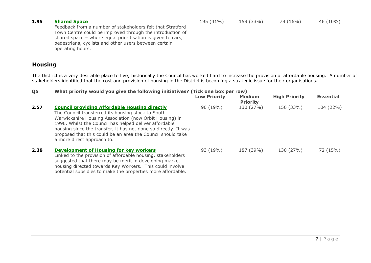#### **1.95 Shared Space**

195 (41%) 159 (33%) 79 (16%) 46 (10%)

Feedback from a number of stakeholders felt that Stratford Town Centre could be improved through the introduction of shared space – where equal prioritisation is given to cars, pedestrians, cyclists and other users between certain operating hours.

potential subsidies to make the properties more affordable.

## **Housing**

The District is a very desirable place to live; historically the Council has worked hard to increase the provision of affordable housing. A number of stakeholders identified that the cost and provision of housing in the District is becoming a strategic issue for their organisations.

## **Q5 What priority would you give the following initiatives? (Tick one box per row)**

|      |                                                                                                                                                                                                                                                                                                                                                                                                 | <b>Low Priority</b> | <b>Medium</b><br><b>Priority</b> | <b>High Priority</b> | <b>Essential</b> |
|------|-------------------------------------------------------------------------------------------------------------------------------------------------------------------------------------------------------------------------------------------------------------------------------------------------------------------------------------------------------------------------------------------------|---------------------|----------------------------------|----------------------|------------------|
| 2.57 | <b>Council providing Affordable Housing directly</b><br>The Council transferred its housing stock to South<br>Warwickshire Housing Association (now Orbit Housing) in<br>1996. Whilst the Council has helped deliver affordable<br>housing since the transfer, it has not done so directly. It was<br>proposed that this could be an area the Council should take<br>a more direct approach to. | 90 (19%)            | 130 (27%)                        | 156 (33%)            | 104 (22%)        |
| 2.38 | <b>Development of Housing for key workers</b><br>Linked to the provision of affordable housing, stakeholders<br>suggested that there may be merit in developing market<br>housing directed towards Key Workers. This could involve                                                                                                                                                              | 93 (19%)            | 187 (39%)                        | 130 (27%)            | 72 (15%)         |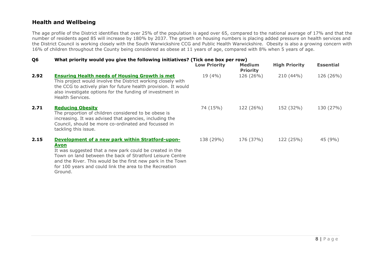## **Health and Wellbeing**

The age profile of the District identifies that over 25% of the population is aged over 65, compared to the national average of 17% and that the number of residents aged 85 will increase by 180% by 2037. The growth on housing numbers is placing added pressure on health services and the District Council is working closely with the South Warwickshire CCG and Public Health Warwickshire. Obesity is also a growing concern with 16% of children throughout the County being considered as obese at 11 years of age, compared with 8% when 5 years of age.

## **Q6 What priority would you give the following initiatives? (Tick one box per row)**

|      |                                                                                                                                                                                                                                                                                                                        | <b>Low Priority</b> | <b>Medium</b><br><b>Priority</b> | <b>High Priority</b> | <b>Essential</b> |
|------|------------------------------------------------------------------------------------------------------------------------------------------------------------------------------------------------------------------------------------------------------------------------------------------------------------------------|---------------------|----------------------------------|----------------------|------------------|
| 2.92 | <b>Ensuring Health needs of Housing Growth is met</b><br>This project would involve the District working closely with<br>the CCG to actively plan for future health provision. It would<br>also investigate options for the funding of investment in<br>Health Services.                                               | 19(4%               | 126 (26%)                        | $210(44\%)$          | 126 (26%)        |
| 2.71 | <b>Reducing Obesity</b><br>The proportion of children considered to be obese is<br>increasing. It was advised that agencies, including the<br>Council, should be more co-ordinated and focussed in<br>tackling this issue.                                                                                             | 74 (15%)            | 122 (26%)                        | 152 (32%)            | 130 (27%)        |
| 2.15 | Development of a new park within Stratford-upon-<br>Avon<br>It was suggested that a new park could be created in the<br>Town on land between the back of Stratford Leisure Centre<br>and the River. This would be the first new park in the Town<br>for 100 years and could link the area to the Recreation<br>Ground. | 138 (29%)           | 176 (37%)                        | 122 (25%)            | 45 (9%)          |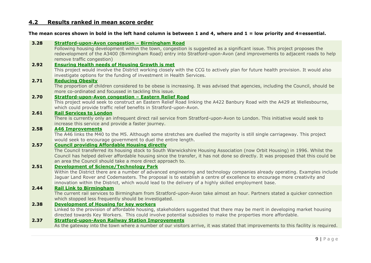## **4.2 Results ranked in mean score order**

#### **The mean scores shown in bold in the left hand column is between 1 and 4, where and 1 = low priority and 4=essential.**

#### **3.28 Stratford-upon-Avon congestion – Birmingham Road**

Following housing development within the town, congestion is suggested as a significant issue. This project proposes the redevelopment of the A3400 (Birmingham Road) entry into Stratford-upon-Avon (and improvements to adjacent roads to help remove traffic congestion)

#### **2.92 Ensuring Health needs of Housing Growth is met**

This project would involve the District working closely with the CCG to actively plan for future health provision. It would also investigate options for the funding of investment in Health Services.

#### **2.71 Reducing Obesity**

The proportion of children considered to be obese is increasing. It was advised that agencies, including the Council, should be more co-ordinated and focussed in tackling this issue.

## **2.70 Stratford-upon-Avon congestion – Eastern Relief Road**

This project would seek to construct an Eastern Relief Road linking the A422 Banbury Road with the A429 at Wellesbourne, which could provide traffic relief benefits in Stratford-upon-Avon.

#### **2.61 Rail Services to London**

There is currently only an infrequent direct rail service from Stratford-upon-Avon to London. This initiative would seek to increase this service and provide a faster journey.

#### **2.58 A46 Improvements**

The A46 links the M40 to the M5. Although some stretches are duelled the majority is still single carriageway. This project would seek to encourage government to duel the entire length.

#### **2.57 Council providing Affordable Housing directly**

The Council transferred its housing stock to South Warwickshire Housing Association (now Orbit Housing) in 1996. Whilst the Council has helped deliver affordable housing since the transfer, it has not done so directly. It was proposed that this could be an area the Council should take a more direct approach to.

#### **2.51 Development of Science/Technology Park**

Within the District there are a number of advanced engineering and technology companies already operating. Examples include Jaguar Land Rover and Codemasters. The proposal is to establish a centre of excellence to encourage more creativity and innovation within the District, which would lead to the delivery of a highly skilled employment base.

#### **2.44 Rail Link to Birmingham**

The current rail services to Birmingham from Stratford-upon-Avon take almost an hour. Partners stated a quicker connection which stopped less frequently should be investigated.

#### **2.38 Development of Housing for key workers**

Linked to the provision of affordable housing, stakeholders suggested that there may be merit in developing market housing directed towards Key Workers. This could involve potential subsidies to make the properties more affordable.

#### **2.37 Stratford-upon-Avon Railway Station Improvements**

As the gateway into the town where a number of our visitors arrive, it was stated that improvements to this facility is required.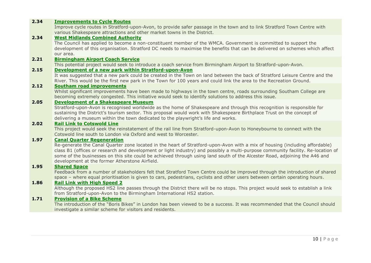| 2.34 | <b>Improvements to Cycle Routes</b>                                                                                              |
|------|----------------------------------------------------------------------------------------------------------------------------------|
|      | Improve cycle routes in Stratford-upon-Avon, to provide safer passage in the town and to link Stratford Town Centre with         |
|      | various Shakespeare attractions and other market towns in the District.                                                          |
| 2.34 | <b>West Midlands Combined Authority</b>                                                                                          |
|      | The Council has applied to become a non-constituent member of the WMCA. Government is committed to support the                   |
|      | development of this organisation. Stratford DC needs to maximise the benefits that can be delivered on schemes which affect      |
|      | our area.                                                                                                                        |
| 2.21 | <b>Birmingham Airport Coach Service</b>                                                                                          |
|      | This potential project would seek to introduce a coach service from Birmingham Airport to Stratford-upon-Avon.                   |
| 2.15 | Development of a new park within Stratford-upon-Avon                                                                             |
|      | It was suggested that a new park could be created in the Town on land between the back of Stratford Leisure Centre and the       |
|      | River. This would be the first new park in the Town for 100 years and could link the area to the Recreation Ground.              |
| 2.12 | <b>Southam road improvements</b>                                                                                                 |
|      | Whilst significant improvements have been made to highways in the town centre, roads surrounding Southam College are             |
|      | becoming extremely congested. This initiative would seek to identify solutions to address this issue.                            |
| 2.05 | <b>Development of a Shakespeare Museum</b>                                                                                       |
|      | Stratford-upon-Avon is recognised worldwide as the home of Shakespeare and through this recognition is responsible for           |
|      | sustaining the District's tourism sector. This proposal would work with Shakespeare Birthplace Trust on the concept of           |
|      | delivering a museum within the town dedicated to the playwright's life and works.                                                |
| 2.02 | <b>Rail Link to Cotswold Line</b>                                                                                                |
|      | This project would seek the reinstatement of the rail line from Stratford-upon-Avon to Honeybourne to connect with the           |
|      | Cotswold line south to London via Oxford and west to Worcester.                                                                  |
| 1.97 | <b>Canal Quarter Regeneration</b>                                                                                                |
|      | Re-generate the Canal Quarter zone located in the heart of Stratford-upon-Avon with a mix of housing (including affordable)      |
|      | class B1 (offices or research and development or light industry) and possibly a multi-purpose community facility. Re-location of |
|      | some of the businesses on this site could be achieved through using land south of the Alcester Road, adjoining the A46 and       |
|      | development at the former Atherstone Airfield.                                                                                   |
| 1.95 | <b>Shared Space</b>                                                                                                              |
|      | Feedback from a number of stakeholders felt that Stratford Town Centre could be improved through the introduction of shared      |
|      | space - where equal prioritisation is given to cars, pedestrians, cyclists and other users between certain operating hours.      |
| 1.86 | <b>Rail Link with High Speed 2</b>                                                                                               |
|      | Although the proposed HS2 line passes through the District there will be no stops. This project would seek to establish a link   |
|      | from Stratford-upon-Avon to the Birmingham International HS2 station.                                                            |
| 1.71 | <b>Provision of a Bike Scheme</b>                                                                                                |
|      | The introduction of the "Boris Bikes" in London has been viewed to be a success. It was recommended that the Council should      |
|      | investigate a similar scheme for visitors and residents.                                                                         |
|      |                                                                                                                                  |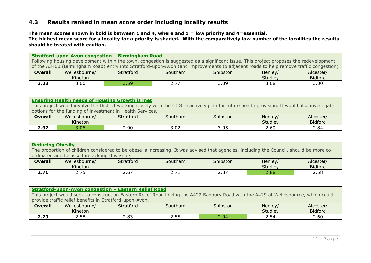## **4.3 Results ranked in mean score order including locality results**

**The mean scores shown in bold is between 1 and 4, where and 1 = low priority and 4=essential. The highest mean score for a locality for a priority is shaded. With the comparatively low number of the localities the results should be treated with caution.**

**Stratford-upon-Avon congestion – Birmingham Road** Following housing development within the town, congestion is suggested as a significant issue. This project proposes the redevelopment of the A3400 (Birmingham Road) entry into Stratford-upon-Avon (and improvements to adjacent roads to help remove traffic congestion) **Overall** Wellesbourne/ Kineton Stratford Southam Shipston Henley **Studley** Alcester/ Bidford **3.28** 3.06 3.59 2.77 3.39 3.08 3.30

#### **Ensuring Health needs of Housing Growth is met**

This project would involve the District working closely with the CCG to actively plan for future health provision. It would also investigate options for the funding of investment in Health Services.

| <b>Overall</b> | Wellesbourne/<br>Kineton | Stratford | Southam     | Shipston        | Henley/<br><b>Studley</b> | Alcester<br><b>Bidford</b> |
|----------------|--------------------------|-----------|-------------|-----------------|---------------------------|----------------------------|
| ר ח<br>2.JZ    | 3.06                     | 2.90      | ר מ<br>J.VZ | $\cap$<br>ں ں ر | 2.69                      | 2.84                       |

| <b>Reducing Obesity</b>                                                                                                                  |               |           |         |          |         |                |  |  |
|------------------------------------------------------------------------------------------------------------------------------------------|---------------|-----------|---------|----------|---------|----------------|--|--|
| The proportion of children considered to be obese is increasing. It was advised that agencies, including the Council, should be more co- |               |           |         |          |         |                |  |  |
| ordinated and focussed in tackling this issue.                                                                                           |               |           |         |          |         |                |  |  |
| <b>Overall</b>                                                                                                                           | Wellesbourne/ | Stratford | Southam | Shipston | Henley/ | Alcester/      |  |  |
|                                                                                                                                          | Kineton       |           |         |          | Studley | <b>Bidford</b> |  |  |
| 2.71                                                                                                                                     | 2.75          | 2.67      | 2.71    | 2.87     | 2.88    | 2.58           |  |  |

| <b>Stratford-upon-Avon congestion - Eastern Relief Road</b>                                                                          |               |           |         |          |         |                |  |  |
|--------------------------------------------------------------------------------------------------------------------------------------|---------------|-----------|---------|----------|---------|----------------|--|--|
| This project would seek to construct an Eastern Relief Road linking the A422 Banbury Road with the A429 at Wellesbourne, which could |               |           |         |          |         |                |  |  |
| provide traffic relief benefits in Stratford-upon-Avon.                                                                              |               |           |         |          |         |                |  |  |
| <b>Overall</b>                                                                                                                       | Wellesbourne/ | Stratford | Southam | Shipston | Henley/ | Alcester/      |  |  |
|                                                                                                                                      | Kineton       |           |         |          | Studley | <b>Bidford</b> |  |  |
| 2.70                                                                                                                                 | 2.58          | 2.83      | 2.55    | 2.94     | 2.54    | 2.60           |  |  |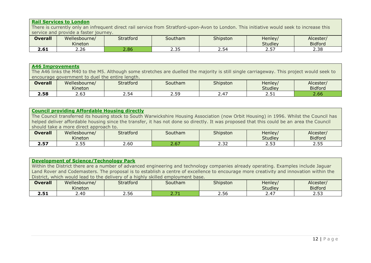# **Rail Services to London**

There is currently only an infrequent direct rail service from Stratford-upon-Avon to London. This initiative would seek to increase this service and provide a faster journey.

| <b>Overall</b>       | Wellesbourne/<br>Kineton | <b>Stratford</b> | Southam      | Shipston | Henley/<br><b>Studley</b> | Alcester/<br><b>Bidford</b> |
|----------------------|--------------------------|------------------|--------------|----------|---------------------------|-----------------------------|
| <b>3 G 1</b><br>Z.OI | 2.26                     | 2.86             | つつに<br>ر ر . | 2.54     | רה ר<br>، ب ے             | 2.38                        |

| <b>A46 Improvements</b><br>The A46 links the M40 to the M5. Although some stretches are duelled the majority is still single carriageway. This project would seek to<br>encourage government to duel the entire length. |                          |           |         |          |                    |                             |  |  |
|-------------------------------------------------------------------------------------------------------------------------------------------------------------------------------------------------------------------------|--------------------------|-----------|---------|----------|--------------------|-----------------------------|--|--|
| <b>Overall</b>                                                                                                                                                                                                          | Wellesbourne/<br>Kineton | Stratford | Southam | Shipston | Henley/<br>Studley | Alcester/<br><b>Bidford</b> |  |  |
| 2.58                                                                                                                                                                                                                    | 2.63                     | 2.54      | 2.59    | 2.47     | 2.51               | 2.66                        |  |  |

| <b>Council providing Affordable Housing directly</b>                                                                                      |               |           |         |          |         |                |  |  |  |
|-------------------------------------------------------------------------------------------------------------------------------------------|---------------|-----------|---------|----------|---------|----------------|--|--|--|
| The Council transferred its housing stock to South Warwickshire Housing Association (now Orbit Housing) in 1996. Whilst the Council has   |               |           |         |          |         |                |  |  |  |
| helped deliver affordable housing since the transfer, it has not done so directly. It was proposed that this could be an area the Council |               |           |         |          |         |                |  |  |  |
| should take a more direct approach to.                                                                                                    |               |           |         |          |         |                |  |  |  |
| <b>Overall</b>                                                                                                                            | Wellesbourne/ | Stratford | Southam | Shipston | Henley/ | Alcester/      |  |  |  |
|                                                                                                                                           | Kineton       |           |         |          | Studley | <b>Bidford</b> |  |  |  |
| 2.57                                                                                                                                      | 2.55          | 2.60      | 2.67    | 2.32     | 2.53    | 2.55           |  |  |  |

|                                                                                                                                    | <b>Development of Science/Technology Park</b>                                                                                          |           |         |          |         |                |  |  |  |
|------------------------------------------------------------------------------------------------------------------------------------|----------------------------------------------------------------------------------------------------------------------------------------|-----------|---------|----------|---------|----------------|--|--|--|
| Within the District there are a number of advanced engineering and technology companies already operating. Examples include Jaguar |                                                                                                                                        |           |         |          |         |                |  |  |  |
|                                                                                                                                    | Land Rover and Codemasters. The proposal is to establish a centre of excellence to encourage more creativity and innovation within the |           |         |          |         |                |  |  |  |
|                                                                                                                                    | District, which would lead to the delivery of a highly skilled employment base.                                                        |           |         |          |         |                |  |  |  |
| <b>Overall</b>                                                                                                                     | Wellesbourne/                                                                                                                          | Stratford | Southam | Shipston | Henley/ | Alcester/      |  |  |  |
|                                                                                                                                    | Kineton                                                                                                                                |           |         |          | Studley | <b>Bidford</b> |  |  |  |
| 2.51                                                                                                                               | 2.40                                                                                                                                   | 2.56      | 2.71    | 2.56     | 2.47    | 2.53           |  |  |  |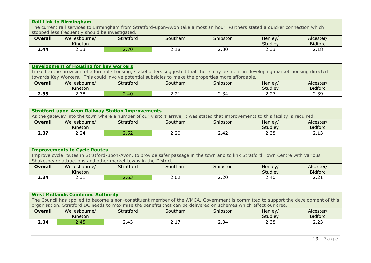#### **Rail Link to Birmingham** The current rail services to Birmingham from Stratford-upon-Avon take almost an hour. Partners stated a quicker connection which stopped less frequently should be investigated. **Overall** Wellesbourne/ Kineton<br>2.33 Stratford Southam Shipston Henley Studley<br>2.33 Alcester/ Bidford<br>2.18

**2.44** | 2.33 | 2.70 | 2.18 | 2.30 | 2.33 | 2.18

| <b>Development of Housing for key workers</b>                                                                                       |                                                                                                     |           |         |          |         |                |  |  |  |
|-------------------------------------------------------------------------------------------------------------------------------------|-----------------------------------------------------------------------------------------------------|-----------|---------|----------|---------|----------------|--|--|--|
| Linked to the provision of affordable housing, stakeholders suggested that there may be merit in developing market housing directed |                                                                                                     |           |         |          |         |                |  |  |  |
|                                                                                                                                     | towards Key Workers. This could involve potential subsidies to make the properties more affordable. |           |         |          |         |                |  |  |  |
| <b>Overall</b>                                                                                                                      | Wellesbourne/                                                                                       | Stratford | Southam | Shipston | Henley/ | Alcester/      |  |  |  |
|                                                                                                                                     | Kineton                                                                                             |           |         |          | Studley | <b>Bidford</b> |  |  |  |
| 2.38                                                                                                                                | 2.38                                                                                                | 2.40      | 2.21    | 2.34     | 2.27    | 2.39           |  |  |  |

| <b>Stratford-upon-Avon Railway Station Improvements</b>                                                                           |               |                  |         |          |         |                |  |  |
|-----------------------------------------------------------------------------------------------------------------------------------|---------------|------------------|---------|----------|---------|----------------|--|--|
| As the gateway into the town where a number of our visitors arrive, it was stated that improvements to this facility is required. |               |                  |         |          |         |                |  |  |
| <b>Overall</b>                                                                                                                    | Wellesbourne/ | <b>Stratford</b> | Southam | Shipston | Henley/ | Alcester/      |  |  |
|                                                                                                                                   | Kineton       |                  |         |          | Studley | <b>Bidford</b> |  |  |
| 2.37                                                                                                                              | 2.24          | 2.52             | 2.20    | 2.42     | 2.38    |                |  |  |

| <b>Improvements to Cycle Routes</b>                                                                                              |               |           |         |          |         |                |  |  |  |
|----------------------------------------------------------------------------------------------------------------------------------|---------------|-----------|---------|----------|---------|----------------|--|--|--|
| Improve cycle routes in Stratford-upon-Avon, to provide safer passage in the town and to link Stratford Town Centre with various |               |           |         |          |         |                |  |  |  |
| Shakespeare attractions and other market towns in the District.                                                                  |               |           |         |          |         |                |  |  |  |
| <b>Overall</b>                                                                                                                   | Wellesbourne/ | Stratford | Southam | Shipston | Henley/ | Alcester/      |  |  |  |
|                                                                                                                                  | Kineton       |           |         |          | Studley | <b>Bidford</b> |  |  |  |
| 2.34                                                                                                                             | 2.31          | 2.63      | 2.02    | 2.20     | 2.40    | 2.21           |  |  |  |

## **West Midlands Combined Authority**

The Council has applied to become a non-constituent member of the WMCA. Government is committed to support the development of this organisation. Stratford DC needs to maximise the benefits that can be delivered on schemes which affect our area.

| <b>Overall</b> | Wellesbourne/<br>Kineton | <b>Stratford</b> | Southam           | Shipston                    | Henley/<br><b>Studley</b> | Alcester/<br><b>Bidford</b> |
|----------------|--------------------------|------------------|-------------------|-----------------------------|---------------------------|-----------------------------|
| 2.34           | ഺ൳                       | <del>4</del>     | . . -<br><u>.</u> | $\sim$ $\sim$ $\sim$<br>۔ ت | 2.38                      | ר ה<br>ر ے ، ے              |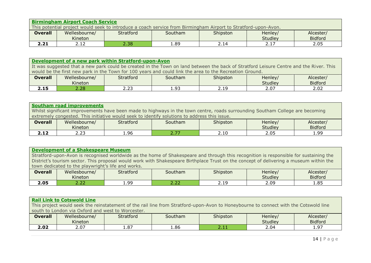|                                                                                                                | <b>Birmingham Airport Coach Service</b> |           |         |          |         |                |  |  |  |  |
|----------------------------------------------------------------------------------------------------------------|-----------------------------------------|-----------|---------|----------|---------|----------------|--|--|--|--|
| This potential project would seek to introduce a coach service from Birmingham Airport to Stratford-upon-Avon. |                                         |           |         |          |         |                |  |  |  |  |
| <b>Overall</b>                                                                                                 | Wellesbourne/                           | Stratford | Southam | Shipston | Henley/ | Alcester/      |  |  |  |  |
|                                                                                                                | Kineton                                 |           |         |          | Studley | <b>Bidford</b> |  |  |  |  |
| 2.21                                                                                                           | 2.12                                    | 2.38      | 1.89    | 2.14     | 2.17    | 2.05           |  |  |  |  |

#### **Development of a new park within Stratford-upon-Avon**

It was suggested that a new park could be created in the Town on land between the back of Stratford Leisure Centre and the River. This would be the first new park in the Town for 100 years and could link the area to the Recreation Ground.

| <b>Overall</b>     | Wellesbourne/<br>Kineton | Stratford    | Southam                | Shipston     | Henley/<br><b>Studley</b> | Alcester/<br><b>Bidford</b> |
|--------------------|--------------------------|--------------|------------------------|--------------|---------------------------|-----------------------------|
| - -<br><u>z.lj</u> | 2.28                     | ົ່າ<br>ر ے . | . വ~<br>. . <i>. .</i> | 10 ר<br>ム・エン | 2.07                      | ר ה<br>z.uz                 |

| <b>Southam road improvements</b>                                                                                              |               |           |         |          |         |                |  |  |  |
|-------------------------------------------------------------------------------------------------------------------------------|---------------|-----------|---------|----------|---------|----------------|--|--|--|
| Whilst significant improvements have been made to highways in the town centre, roads surrounding Southam College are becoming |               |           |         |          |         |                |  |  |  |
| extremely congested. This initiative would seek to identify solutions to address this issue.                                  |               |           |         |          |         |                |  |  |  |
| <b>Overall</b>                                                                                                                | Wellesbourne/ | Stratford | Southam | Shipston | Henley/ | Alcester/      |  |  |  |
|                                                                                                                               | Kineton       |           |         |          | Studley | <b>Bidford</b> |  |  |  |
| 2.12                                                                                                                          | 2.23          | L.96      | 2.77    | 2.10     | 2.05    | 1.99           |  |  |  |

## **Development of a Shakespeare Museum**

Stratford-upon-Avon is recognised worldwide as the home of Shakespeare and through this recognition is responsible for sustaining the District's tourism sector. This proposal would work with Shakespeare Birthplace Trust on the concept of delivering a museum within the town dedicated to the playwright's life and works.

| <b>Overall</b> | Wellesbourne/<br>Kineton | Stratford        | Southam    | Shipston               | Henley,<br><b>Studley</b> | Alcester<br><b>Bidford</b> |
|----------------|--------------------------|------------------|------------|------------------------|---------------------------|----------------------------|
| 2.05           | - --<br>ے ۔              | .ao<br><b>,,</b> | ---<br>ے ۔ | $\sim$<br><u>_ _ _</u> | 2.09                      | 1.85                       |

### **Rail Link to Cotswold Line**

This project would seek the reinstatement of the rail line from Stratford-upon-Avon to Honeybourne to connect with the Cotswold line south to London via Oxford and west to Worcester.

| <b>Overall</b> | Wellesbourne/<br>Kineton | <b>Stratford</b> | Southam | Shipston | Henley/<br><b>Studley</b> | Alcester<br><b>Bidford</b> |
|----------------|--------------------------|------------------|---------|----------|---------------------------|----------------------------|
| 2.02           | ר ה<br>2.U7              | 1.87             | .86ء    | .        | 2.04                      | - 97<br>. . <i>.</i> .     |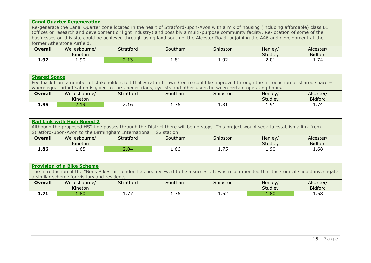|                             | <b>Canal Quarter Regeneration</b>                                                                                                    |      |      |      |         |                |  |
|-----------------------------|--------------------------------------------------------------------------------------------------------------------------------------|------|------|------|---------|----------------|--|
|                             | Re-generate the Canal Quarter zone located in the heart of Stratford-upon-Avon with a mix of housing (including affordable) class B1 |      |      |      |         |                |  |
|                             | (offices or research and development or light industry) and possibly a multi-purpose community facility. Re-location of some of the  |      |      |      |         |                |  |
|                             | businesses on this site could be achieved through using land south of the Alcester Road, adjoining the A46 and development at the    |      |      |      |         |                |  |
| former Atherstone Airfield. |                                                                                                                                      |      |      |      |         |                |  |
| <b>Overall</b>              | Wellesbourne/<br>Southam<br>Henley/<br>Stratford<br>Shipston<br>Alcester/                                                            |      |      |      |         |                |  |
|                             | Kineton                                                                                                                              |      |      |      | Studley | <b>Bidford</b> |  |
| 1.97                        | 1.90                                                                                                                                 | 2.13 | 1.81 | 1.92 | 2.01    | 1.74           |  |

| <b>Shared Space</b>                                                                                                                 |               |                  |         |          |         |                |
|-------------------------------------------------------------------------------------------------------------------------------------|---------------|------------------|---------|----------|---------|----------------|
| Feedback from a number of stakeholders felt that Stratford Town Centre could be improved through the introduction of shared space - |               |                  |         |          |         |                |
| where equal prioritisation is given to cars, pedestrians, cyclists and other users between certain operating hours.                 |               |                  |         |          |         |                |
| <b>Overall</b>                                                                                                                      | Wellesbourne/ | <b>Stratford</b> | Southam | Shipston | Henley/ | Alcester/      |
|                                                                                                                                     | Kineton       |                  |         |          | Studley | <b>Bidford</b> |
| 1.95                                                                                                                                | 2.19          | 2.16             | 1.76    | 1.81     | 1.91    | 1.74           |

| <b>Rail Link with High Speed 2</b>                                                                                                  |               |           |         |          |         |                |  |
|-------------------------------------------------------------------------------------------------------------------------------------|---------------|-----------|---------|----------|---------|----------------|--|
| Although the proposed HS2 line passes through the District there will be no stops. This project would seek to establish a link from |               |           |         |          |         |                |  |
| Stratford-upon-Avon to the Birmingham International HS2 station.                                                                    |               |           |         |          |         |                |  |
| <b>Overall</b>                                                                                                                      | Wellesbourne/ | Stratford | Southam | Shipston | Henley/ | Alcester/      |  |
|                                                                                                                                     | Kineton       |           |         |          | Studley | <b>Bidford</b> |  |
| 1.86                                                                                                                                | 1.65          | 2.04      | 1.66    | 1.75     | 1.90    | 1.68           |  |

| <b>Provision of a Bike Scheme</b>                                                                                                       |               |           |         |          |         |                |  |
|-----------------------------------------------------------------------------------------------------------------------------------------|---------------|-----------|---------|----------|---------|----------------|--|
| The introduction of the "Boris Bikes" in London has been viewed to be a success. It was recommended that the Council should investigate |               |           |         |          |         |                |  |
| a similar scheme for visitors and residents.                                                                                            |               |           |         |          |         |                |  |
| <b>Overall</b>                                                                                                                          | Wellesbourne/ | Stratford | Southam | Shipston | Henley/ | Alcester/      |  |
|                                                                                                                                         | Kineton       |           |         |          | Studley | <b>Bidford</b> |  |
| 1.71                                                                                                                                    | 1.80          | 1.77      | 1.76    | 1.52     | 1.80    | 1.58           |  |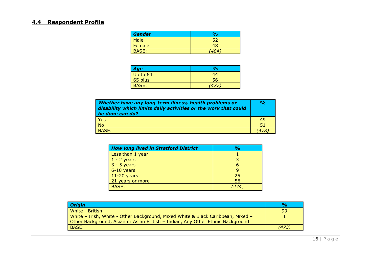# **4.4 Respondent Profile**

| <b>Gender</b> | $\frac{1}{2}$ |  |
|---------------|---------------|--|
| Male          |               |  |
| Female        | 48            |  |
| BASE:         |               |  |

| Age                 | $\frac{1}{2}$ |
|---------------------|---------------|
|                     | 44            |
| Up to 64<br>65 plus | 56            |
| BASE:               | 47            |

| Whether have any long-term illness, health problems or<br>disability which limits daily activities or the work that could<br>be done can do? |    |  |
|----------------------------------------------------------------------------------------------------------------------------------------------|----|--|
| <b>Yes</b>                                                                                                                                   | 49 |  |
| <b>No</b>                                                                                                                                    | 51 |  |
| BASE:                                                                                                                                        |    |  |

| <b>How long lived in Stratford District</b> | $\frac{0}{0}$ |
|---------------------------------------------|---------------|
| Less than 1 year                            |               |
| $1 - 2$ years                               |               |
| $3 - 5$ years                               | 6             |
| $6-10$ years                                |               |
| $11-20$ years                               | 25            |
| 21 years or more                            | 56            |
| <b>BASE:</b>                                |               |

| <b>Origin</b>                                                                   | $\frac{O}{O}$ |
|---------------------------------------------------------------------------------|---------------|
| White - British                                                                 | 99            |
| White - Irish, White - Other Background, Mixed White & Black Caribbean, Mixed - |               |
| Other Background, Asian or Asian British - Indian, Any Other Ethnic Background  |               |
| BASE:                                                                           | (473)         |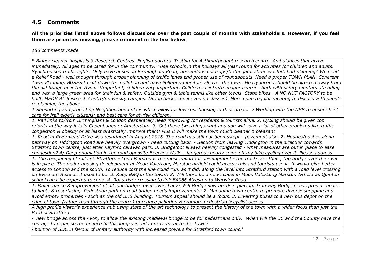## **4.5 Comments**

**All the priorities listed above follows discussions over the past couple of months with stakeholders. However, if you feel there are priorities missing, please comment in the box below.**

*186 comments made*

*\* Bigger cleaner hospitals & Research Centres. English doctors. Testing for Asthma/peanut research centre. Ambulances that arrive immediately. All ages to be cared for in the community. \*Use schools in the holidays all year round for activities for children and adults. Synchronised traffic lights. Only have buses on Birmingham Road, horrendous hold-ups/traffic jams, time wasted, bad planning? We need a Relief Road - well thought through proper planning of traffic lanes and proper use of roundabouts. Need a proper TOWN PLAN. Coherent Town Planning. BUSES to cut down the pollution and have Pollution monitors all over the town. Heavy lorries should be directed away from the old bridge over the Avon. \*Important, children very important. Children's centre/teenager centre - both with safety mentors attending and with a large green area for their fun & safety. Outside gym & table tennis like other towns. Static bikes. A NO NUT FACTORY to be built. MEDICAL Research Centre/university campus. (Bring back school evening classes). More open regular meeting to discuss with people re planning the above*

*1 Supporting and protecting Neighbourhood plans which allow for low cost housing in their areas. 2 Working with the NHS to ensure best care for frail elderly citizens; and best care for at-risk children.*

*1. Rail links to/from Birmingham & London desperately need improving for residents & tourists alike. 2. Cycling should be given top priority in the way it is in Copenhagen or Amsterdam. 3. Get these two things right and you will solve a lot of other problems like traffic congestion & obesity or at least drastically improve them! Plus it will make the town much cleaner & pleasant*

*1. Road in Rivermead Drive was resurfaced in August 2016. The road has still not been swept - pavement also. 2. Hedges/bushes along pathway on Tiddington Road are heavily overgrown - need cutting back. - Section from leaving Tiddington in the direction towards Stratford town centre, just after Rayford caravan park. 3. Bridgefoot always heavily congested - what measures are put in place to ease congestion? 4/ Deep undulation in the road opposite Beeches Walk - dangerous nearly come off my bike cycling over it. Please address*

*1. The re-opening of rail link Stratford - Long Marston is the most important development - the tracks are there, the bridge over the river is in place. The major housing development at Meon Vale/Long Marston airfield could access this and tourists use it. It would give better access to London and the south. To reduce cost the line could run, as it did, along the level into Stratford station with a road level crossing on Evesham Road as it used to be. 2. Keep B&Q in the town!! 3. Will there be a new school in Meon Vale/Long Marston Airfield as Quinton school can't be expected to cope. 4. Road river crossing to link B4086 Alveston to Warwick Road*

*1. Maintenance & improvement of all foot bridges over river. Lucy's Mill Bridge now needs replacing. Tramway Bridge needs proper repairs to lights & resurfacing. Pedestrian path on road bridge needs improvements. 2. Managing town centre to promote diverse shopping and avoid empty properties - such as the old BHS building. Tourism appeal should be a focus. 3. Diverting buses to a new bus depot on the edge of town (rather than through the centre) to reduce pollution & promote pedestrian & cyclist access*

*A high profile visitor's experience hub using state of the art technology to present the history of the town with a wider focus than just the Bard of Stratford.*

*A new bridge across the Avon, to allow the existing medieval bridge to be for pedestrians only. When will the DC and the County have the courage to organise the finance fir this long-desired improvement to the Town?*

*Abolition of SDC in favour of unitary authority with increased powers for Stratford town council*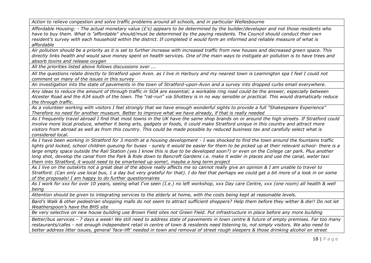*Action to relieve congestion and solve traffic problems around all schools, and in particular Wellesbourne*

*Affordable Housing: - The actual monetary value (£'s) appears to be determined by the builder/developer and not those residents who have to buy them. What is "affordable" should/must be determined by the paying residents. The Council should conduct their own resident's survey with each household within the district. If completed it would form an informed and reliable measure of what is affordable*

*Air pollution should be a priority as it is set to further increase with increased traffic from new houses and decreased green space. This directly links health and would save money spent on health services. One of the main ways to instigate air pollution is to have trees and absorb toxins and release oxygen*

*All the priorities listed above follows discussions over ...*

*All the questions relate directly to Stratford upon Avon. as I live in Harbury and my nearest town is Leamington spa I feel I could not comment on many of the issues in this survey*

*An investigation into the state of pavements in the town of Stratford-upon-Avon and a survey into dropped curbs email everywhere.*

*Any ideas to reduce the amount of through traffic in SOA are essential; a workable ring road could be the answer, especially between Alcester Road and the A34 south of the town. The "rat-run" via Shottery is in no way sensible or practical. This would dramatically reduce the through traffic.*

*As a volunteer working with visitors I feel strongly that we have enough wonderful sights to provide a full "Shakespeare Experience" Therefore no need for another museum. Better to improve what we have already, if that is really needed*

*As I frequently travel abroad I find that most towns in the UK have the same shop brands on or around the high streets. If Stratford could involve more local produce, whether it being arts, gadgets or foods, it could make Stratford unique in this country and attract more visitors from abroad as well as from this country. This could be made possible by reduced business tax and carefully select what is considered local.*

*As I have been working in Stratford for 3 month at a housing development - I was shocked to find the town around the fountains traffic lights grid locked, school children queuing for buses - surely it would be easier for them to be picked up at their relevant school- there is a*  large empty space outside the Rail Station (yes I know this is due to be developed soon?) or even on the College car park. Plus another *long shot, develop the canal from the Park & Ride down to Bancroft Gardens i.e. make it wider in places and use the canal, water taxi them into Stratford, it would need to be smartened up some!, maybe a long term project*

*As I live on the outskirts not a great deal of the above really affects me so cannot really give an opinion & I am unable to travel to Stratford. (Can only use local bus, 1 a day but very grateful for that). I do feel that perhaps we could get a bit more of a look in on some of the proposals! I am happy to do further questionnaires*

*As I work for xxx for over 10 years, seeing what I've seen (I.e.) no left workshop, xxx Day care Centre, xxx (one room) all health & well being*

*Attention should be given to integrating services to the elderly at home, with the costs being kept at reasonable levels.*

*Bard's Walk & other pedestrian shopping malls do not seem to attract sufficient shoppers? Help them before they wither & die!! Do not let Weatherspoon's have the BHS site*

*Be very selective on new house building use Brown Field sites not Green Field. Put infrastructure in place before any more building*

*Better/bus services - 7 days a week! We still need to address state of pavements in town centre & future of empty premises. Far too many restaurants/cafes - not enough independent retail in centre of town & residents need listening to, not simply visitors. We also need to better address litter issues, general 'face-lift' needed in town and removal of street rough sleepers & those drinking alcohol on street*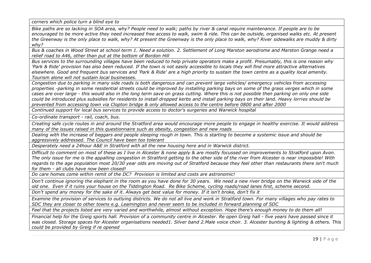*corners which police turn a blind eye to*

*Bike paths are so lacking in SOA area, why? People need to walk; paths by river & canal require maintenance. If people are to be encouraged to be more active they need increased free access to walk, swim & ride. This can be outside, organised walks etc. At present the Greenway is the only place to walk, why? At present the Greenway is the only place to walk, why? River sidewalks are muddy & dirty why?*

*Bus & coaches in Wood Street at school term 1. Need a solution. 2. Settlement of Long Marston aerodrome and Marston Grange need a relief road to A46, other than put at the bottom of Bordon Hill*

*Bus services to the surrounding villages have been reduced to help private operators make a profit. Presumably, this is one reason why 'Park & Ride' provision has also been reduced. If the town is not easily accessible to locals they will find more attractive alternatives elsewhere. Good and frequent bus services and 'Park & Ride' are a high priority to sustain the town centre as a quality local amenity. Tourism alone will not sustain local businesses.*

*Congestion due to parking in many side roads is both dangerous and can prevent large vehicles/ emergency vehicles from accessing properties -parking in some residential streets could be improved by installing parking bays on some of the grass verges which in some cases are over large - this would also in the long term save on grass cutting. Where this is not possible then parking on only one side could be introduced plus subsidies for residents to install dropped kerbs and install parking bays on their land. Heavy lorries should be prevented from accessing town via Clopton bridge & only allowed access to the centre before 0800 and after 2000*

*Continued support for local bus services to provide access to doctor's surgeries and Warwick hospital*

*Co-ordinate transport - rail, coach, bus.*

*Creating safe cycle routes in and around the Stratford area would encourage more people to engage in healthy exercise. It would address many of the issues raised in this questionnaire such as obesity, congestion and new roads*

*Dealing with the increase of beggars and people sleeping rough in town. This is starting to become a systemic issue and should be aggressively addressed. The Council have been too tolerant*

*Desperately need a 24hour A&E in Stratford with all the new housing here and in Warwick district.*

*Difficult to comment on most of these as I live in Alcester & none apply & are mostly focussed on improvements to Stratford upon Avon. The only issue for me is the appalling congestion in Stratford getting to the other side of the river from Alcester is near impossible! With regards to the age population most 20/30 year olds are moving out of Stratford because they feel other than restaurants there isn't much for them - all clubs have now been closed!*

*Do care homes come within remit of the DC? Provision is limited and costs are astronomic!*

*Don't continue ignoring the elephant in the room as you have done for 30 years. We need a new river bridge on the Warwick side of the old one. Even if it ruins your house on the Tiddington Road. Re Bike Scheme, cycling roads/road lanes first, scheme second.*

*Don't spend any money for the sake of it. Always get best value for money. If it isn't broke, don't fix it*

*Examine the provision of services to outlying districts. We do not all live and work in Stratford town. For many villages who pay rates to SDC they are closer to other towns e.g. Leamington and never seem to be included in forward planning of SDC*

*Feel that the projects listed are very varied and worthwhile, almost without exception. Hope there's enough money to do them all!*

*Financial help for the Greig sports hall. Provision of a community centre in Alcester. Re open Greig hall - five years have passed since it was closed. Storage spaces for Alcester organisations needed1. Silver band 2.Male voice choir. 3. Alcester bunting & lighting & others. This could be provided by Greig if re opened*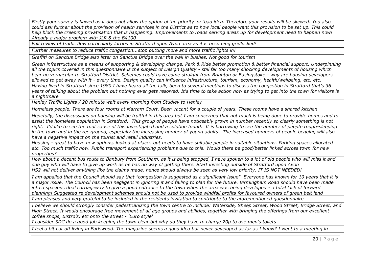*Firstly your survey is flawed as it does not allow the option of 'no priority' or 'bad idea. Therefore your results will be skewed. You also could ask further about the provision of health services in the District as to how local people want this provision to be set up. This could help block the creeping privatisation that is happening. Improvements to roads serving areas up for development need to happen now! Already a major problem with JLR & the B4100*

*Full review of traffic flow particularly lorries in Stratford upon Avon area as it is becoming gridlocked!*

*Further measures to reduce traffic congestion...stop putting more and more traffic lights in!*

*Graffiti on Sanctus Bridge also litter on Sanctus Bridge over the wall in bushes. Not good for tourism*

*Green infrastructure as a means of supporting & developing change. Park & Ride better promotion & better financial support. Underpinning all the topics covered in this questionnaire is the subject of Design Quality - still far too many shocking developments of housing which bear no vernacular to Stratford District. Schemes could have come straight from Brighton or Basingstoke - why are housing developers allowed to get away with it - every time. Design quality can influence infrastructure, tourism, economy, health/wellbeing, etc. etc.*

*Having lived in Stratford since 1980 I have heard all the talk, been to several meetings to discuss the congestion in Stratford that's 36 years of talking about the problem but nothing ever gets resolved. It's time to take action now as trying to get into the town for visitors is a nightmare*

*Henley Traffic Lights / 20 minute wait every morning from Studley to Henley*

*Homeless people. There are four rooms at Marram Court. Been vacant for a couple of years. These rooms have a shared kitchen*

*Hopefully, the discussions on housing will be fruitful in this area but I am concerned that not much is being done to provide homes and to assist the homeless population in Stratford. This group of people have noticeably grown in number recently so clearly something is not right. I'd like to see the root cause of this investigated and a solution found. It is harrowing to see the number of people rough-sleeping in the town and in the rec ground, especially the increasing number of young adults. The increased numbers of people begging will also have a negative impact on the tourist and retail industries.*

*Housing - great to have new options, looked at places but needs to have suitable people in suitable situations. Parking spaces allocated etc. Too much traffic now. Public transport experiencing problems due to this. Would there be good/better linked across town for new properties?*

*How about a decent bus route to Banbury from Southam, as it is being stopped, I have spoken to a lot of old people who will miss it and one guy who will have to give up work as he has no way of getting there. Start investing outside of Stratford upon Avon*

*HS2 will not deliver anything like the claims made, hence should always be seen as very low priority. IT IS NOT NEEDED!*

*I am appalled that the Council should say that "congestion is suggested as a significant issue". Everyone has known for 10 years that it is a major issue. The Council has been negligent in ignoring it and failing to plan for the future. Birmingham Road should have been made into a spacious dual carriageway to give a good entrance to the town when the area was being developed - a total lack of forward planning! Suggested re development schemes should not be used to provide windfall profits for favoured owners of green belt land*

*I am pleased and very grateful to be included in the residents invitation to contribute to the aforementioned questionnaire*

*I believe we should strongly consider pedestrianizing the town centre to include: Waterside, Sheep Street, Wood Street, Bridge Street, and High Street. It would encourage free movement of all age groups and abilities, together with bringing the offerings from our excellent coffee shops, Bistro's, etc onto the street - 'Euro style'*

*I consider SDC do a good job keeping the town clear but why do they have to charge 20p to use men's toilets*

*I feel a bit cut off living in Earlswood. The magazine seems a good idea but never developed as far as I know? I went to a meeting in*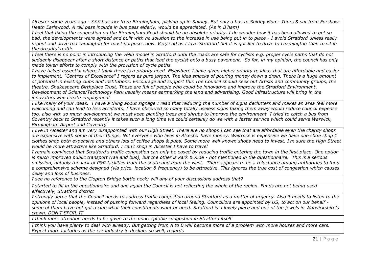*Alcester some years ago - XXX bus xxx from Birmingham, picking up in Shirley. But only a bus to Shirley Mon - Thurs & sat from Forshaw-Heath Earlswood. A rail pass include in bus pass elderly, would be appreciated. (As in B'ham)*

*I feel that fixing the congestion on the Birmingham Road should be an absolute priority. I do wonder how it has been allowed to get so bad, the developments were agreed and built with no solution to the increase in use being put in to place - I avoid Stratford unless really urgent and drive to Leamington for most purposes now. Very sad as I love Stratford but it is quicker to drive to Leamington than to sit in the dreadful traffic*

*I feel there is no point in introducing the Vélib model in Stratford until the roads are safe for cyclists e.g. proper cycle paths that do not suddenly disappear after a short distance or paths that lead the cyclist onto a busy pavement. So far, in my opinion, the council has only made token efforts to comply with the provision of cycle paths.*

*I have ticked essential where I think there is a priority need. Elsewhere I have given higher priority to ideas that are affordable and easier to implement. "Centres of Excellence" I regard as pure jargon. The idea smacks of pouring money down a drain. There is a huge amount of potential in existing clubs and institutions. Encourage and support this The Council should seek out Artists and community groups, the theatre, Shakespeare Birthplace Trust. These are full of people who could be innovative and improve the Stratford Environment. Development of Science/Technology Park usually means earmarking the land and advertising. Good infrastructure will bring in the innovators who create employment*

*I like many of your ideas. I have a thing about signage I read that reducing the number of signs declutters and makes an area feel more welcoming and can lead to less accidents, I have observed so many totally useless signs taking them away would reduce council expense too, also with so much development we must keep planting trees and shrubs to improve the environment I tried to catch a bus from Coventry back to Stratford recently it takes such a long time we could certainly do we with a faster service which could serve Warwick, Birmingham Airport and Coventry*

*I live in Alcester and am very disappointed with our High Street. There are no shops I can see that are affordable even the charity shops are expensive with some of their things. Not everyone who lives in Alcester have money. Waitrose is expensive we have one shoe shop 1 clothes shop both expensive and others lots of coffee shops & pubs. Some more well-known shops need to invest. I'm sure the High Street would be more attractive like Stratford. I can't shop in Alcester I have to travel*

*I remain convinced that Stratford's traffic congestion can only be eased by reducing traffic entering the town in the first place. One option is much improved public transport (rail and bus), but the other is Park & Ride - not mentioned in the questionnaire. This is a serious omission, notably the lack of P&R facilities from the south and from the west. There appears to be a reluctance among authorities to fund a comprehensive scheme designed (via price, location & frequency) to be attractive. This ignores the true cost of congestion which causes delay and loss of business.*

*I see no reference to the Clopton Bridge bottle neck; will any of your discussions address that?*

*I started to fill in the questionnaire and one again the Council is not reflecting the whole of the region. Funds are not being used effectively, Stratford district*

*I strongly agree that the Council needs to address traffic congestion around Stratford as a matter of urgency. Also it needs to listen to the opinions of local people, instead of pushing forward regardless of local feeling. Councillors are appointed by US, to act on our behalf some of them have not got a clue what their constituents want or need. Stratford is a lovely place and one of the jewels in Warwickshire's crown. DON'T SPOIL IT*

*I think more attention needs to be given to the unacceptable congestion in Stratford itself*

*I think you have plenty to deal with already. But getting from A to B will become more of a problem with more houses and more cars. Expect more factories as the car industry in decline, so well, regards*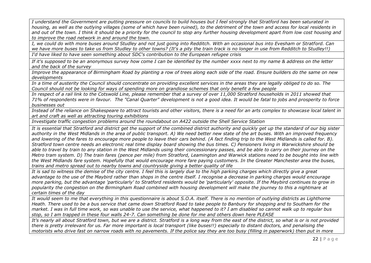*I understand the Government are putting pressure on councils to build houses but I feel strongly that Stratford has been saturated in housing, as well as the outlying villages (some of which have been ruined), to the detriment of the town and access for local residents in and out of the town. I think it should be a priority for the council to stop any further housing development apart from low cost housing and to improve the road network in and around the town.*

*I, we could do with more buses around Studley and not just going into Redditch. With an occasional bus into Evesham or Stratford. Can we have more buses to take us from Studley to other towns? (It's a pity the train track is no longer in use from Redditch to Studley!!) I'd have liked to have seen something about SDC's contribution to the European refugee crisis*

*If it's supposed to be an anonymous survey how come I can be identified by the number xxxx next to my name & address on the letter and the back of the survey*

*Improve the appearance of Birmingham Road by planting a row of trees along each side of the road. Ensure builders do the same on new developments*

*In a time of austerity the Council should concentrate on providing excellent services in the areas they are legally obliged to do so. The Council should not be looking for ways of spending more on grandiose schemes that only benefit a few people*

*In respect of a rail link to the Cotswold Line, please remember that a survey of over 11,000 Stratford households in 2011 showed that 71% of respondents were in favour. The "Canal Quarter" development is not a good idea. It would be fatal to jobs and prosperity to force businesses out*

*Instead of the reliance on Shakespeare to attract tourists and other visitors, there is a need for an arts complex to showcase local talent in art and craft as well as attracting touring exhibitions*

*Investigate traffic congestion problems around the roundabout on A422 outside the Shell Service Station*

*It is essential that Stratford and district get the support of the combined district authority and quickly get up the standard of our big sister authority in the West Midlands in the area of public transport. A) We need better new state of the art buses. With an improved frequency and lowering of the fares to encourage more people to leave their cars behind. (A fact finding trip to the West Midlands is called for. B). Stratford town centre needs an electronic real time display board showing the bus times. C) Pensioners living in Warwickshire should be*  able to travel by train to any station in the West Midlands using their concessionary passes, and be able to carry on their journey on the *Metro tram system. D) The train fares (pence per mile) from Stratford, Leamington and Warwick stations need to be bought into line with the West Midlands fare system. Hopefully that would encourage more fare paying customers. In the Greater Manchester area the buses, trains and metro spread out to nearby towns and countryside giving a better quality of life*

*It is sad to witness the demise of the city centre. I feel this is largely due to the high parking charges which directly give a great advantage to the use of the Maybird rather than shops in the centre itself. I recognise a decrease in parking charges would encourage more parking, but the advantage 'particularly' to Stratford residents would be 'particularly' opposite. If the Maybird continues to grow in popularity the congestion on the Birmingham Road combined with housing development will make the journey to this a nightmare at certain times of the day*

*It would seem to me that everything in this questionnaire is about S.O.A. itself. There is no mention of outlying districts as Lighthorne Heath. There used to be a bus service that came down Stratford Road to take people to Banbury for shopping and to Southam for the market. I was in full time work, so was unable to use the service, what happened to it? I am disabled so cannot walk up to regular bus stop, so I am trapped in these four walls 24-7. Can something be done for me and others down here PLEASE*

*It's nearly all about Stratford town, but we are a district. Stratford is a long way from the east of the district, so what is or is not provided there is pretty irrelevant for us. Far more important is local transport (like buses!!) especially to distant doctors, and penalising the motorists who drive fast on narrow roads with no pavements. If the police say they are too busy (filling in paperwork) then put in more*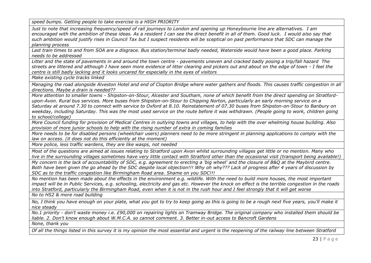*speed bumps. Getting people to take exercise is a HIGH PRIORITY*

*Just to note that increasing frequency/speed of rail journeys to London and opening up Honeybourne line are alternatives. I am encouraged with the ambition of these ideas. As a resident I can see the direct benefit in all of them. Good luck. I would also say that such ambition would justify rises in Council Tax but I suspect residents will be sceptical on past performance that SDC can manage the planning process*

*Last train times to and from SOA are a disgrace. Bus station/terminal badly needed, Waterside would have been a good place. Parking needs to be addressed*

*Litter and the state of pavements in and around the town centre - pavements uneven and cracked badly posing a trip/fall hazard The streets are littered and although I have seen more evidence of litter clearing and pickers out and about on the edge of town - I feel the centre is still badly lacking and it looks uncared for especially in the eyes of visitors*

*Make existing cycle tracks linked*

*Managing the road alongside Alveston Hotel and end of Clopton Bridge where water gathers and floods. This causes traffic congestion in all directions. Maybe a drain is needed??*

*More attention to smaller towns - Shipston-on-Stour, Alcester and Southam, none of which benefit from the direct spending on Stratfordupon-Avon. Rural bus services. More buses from Shipston-on-Stour to Chipping Norton, particularly an early morning service on a Saturday at around 7.30 to connect with service to Oxford at 8.10. Reinstatement of 07.30 buses from Shipston-on-Stour to Banbury on*  weekday, including Saturday. This was the most used service on the route before it was withdrawn. (People going to work, children going *to school/college)*

*More Council funding for provision of Medical Centres in outlying towns and villages, to help with the over whelming house building. Also provision of more junior schools to help with the rising number of extra in coming families*

*More needs to be for disabled persons (wheelchair users) planners need to be more stringent in planning applications to comply with the law on access. (it does not do this efficiently at the moment)*

*More police, less traffic wardens, they are like wasps, not needed*

*Most of the questions are aimed at issues relating to Stratford upon Avon whilst surrounding villages get little or no mention. Many who live in the surrounding villages sometimes have very little contact with Stratford other than the occasional visit (transport being available!)*

*My concern is the lack of accountability of SDC, e.g. agreement to erecting a 'big wheel' and the closure of B&Q at the Maybird centre. Both have been given the go ahead by the SDC despite local objection!!! Why oh why??? Lack of progress after 4 years of discussion by SDC as to the traffic congestion like Birmingham Road area. Shame on you SDC!!!*

*No mention has been made about the effects in the environment e.g. wildlife. With the need to build more houses, the most important impact will be in Public Services, e.g. schooling, electricity and gas etc. However the knock on effect is the terrible congestion in the roads into Stratford, particularly the Birmingham Road, even when it is not in the rush hour and I feel strongly that it will get worse*

*No to HS2 & more road building*

*No, I think you have enough on your plate, what you got to try to keep going as this is going to be a rough next five years, you'll make it nice steady*

*No.1 priority - don't waste money i.e. £90,000 on repairing lights on Tramway Bridge. The original company who installed them should be liable. 2. Don't know enough about W.M.C.A. so cannot comment. 3. Better in-out access to Bancroft Gardens*

*None, thank you*

*Of all the things listed in this survey it is my opinion the most essential and urgent is the reopening of the railway line between Stratford*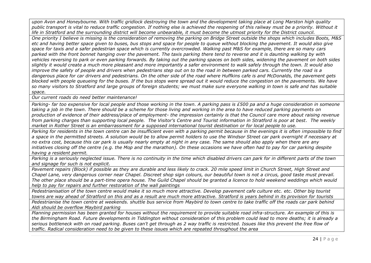*upon Avon and Honeybourne. With traffic gridlock destroying the town and the development taking place at Long Marston high quality public transport is vital to reduce traffic congestion. If nothing else is achieved the reopening of this railway must be a priority. Without it life in Stratford and the surrounding district will become unbearable, it must become the utmost priority for the District council.*

*One priority I believe is missing is the consideration of removing the parking on Bridge Street outside the shops which includes Boots, M&S etc and having better space given to buses, bus stops and space for people to queue without blocking the pavement. It would also give space for taxis and a safer pedestrian space which is currently overcrowded. Walking past M&S for example, there are so many cars parked with the front bonnet hanging over the pavement. The taxis parking there tend to reverse and it is daunting walking by with vehicles reversing to park or even parking forwards. By taking out the parking spaces on both sides, widening the pavement on both sides slightly it would create a much more pleasant and more importantly a safer environment to walk safely through the town. It would also improve the safety of people and drivers when pedestrians step out on to the road in between parked cars. Currently the road is a dangerous place for car drivers and pedestrians. On the other side of the road where Huffkins cafe is and McDonalds, the pavement gets blocked with people queueing for the buses. If the bus stops were spread out it would reduce the congestion on the pavements. We have so many visitors to Stratford and large groups of foreign students; we must make sure everyone walking in town is safe and has suitable space.*

*Our current roads do need better maintenance!*

*Parking- far too expensive for local people and those working in the town. A parking pass is £500 pa and a huge consideration in someone taking a job in the town. There should be a scheme for those living and working in the area to have reduced parking payments on production of evidence of their address/place of employment- the impression certainly is that the Council care more about raising revenue from parking charges than supporting local people. The Visitor's Centre and Tourist information in Stratford is poor at best. The weekly market in Rother Street is an embarrassment for a supposed international tourist destination or for local people to use.*

*Parking for residents in the town centre can be insufficient even with a parking permit because in the evenings it is often impossible to find a space in the permitted streets. A solution would be to allow permit holders to use the Windsor Street car park overnight if necessary at no extra cost, because this car park is usually nearly empty at night in any case. The same should also apply when there are any initiatives closing off the centre (e.g. the Mop and the marathon). On these occasions we have often had to pay for car parking despite having a resident permit.*

*Parking is a seriously neglected issue. There is no continuity in the time which disabled drivers can park for in different parts of the town and signage for such is not explicit.*

*Pavement repairs (Block) if possible as they are durable and less likely to crack. 20 mile speed limit in Church Street, High Street and Chapel Lane, very dangerous corner near Chapel. Discreet shop sign colours, our beautiful town is not a circus, good taste must prevail. The other place should be a part-time opera house. The Guild Chapel should be granted a licence to hold weekend weddings which would help to pay for repairs and further restoration of the wall paintings*

*Pedestrianisation of the town centre would make it so much more attractive. Develop pavement cafe culture etc. etc. Other big tourist towns are way ahead of Stratford on this and as a result are much more attractive. Stratford is years behind in its provision for tourists*

Pedestrianise the town centre at weekends. shuttle bus service from Maybird to town centre to take traffic off the roads car park behind *Aldi should be overflow Maybird parking*

*Planning permission has been granted for houses without the requirement to provide suitable road infra-structure. An example of this is the Birmingham Road. Future developments in Tiddington without consideration of this problem could lead to more deaths; it is already a serious bottleneck with on road parking. Buses can't get through as 2 way traffic is restricted. Issues like this prevent the free flow of traffic. Radical consideration need to be given to these issues which are repeated throughout the area*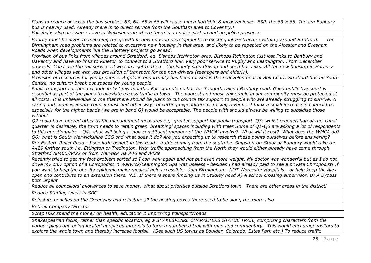*Plans to reduce or scrap the bus services 63, 64, 65 & 66 will cause much hardship & inconvenience. ESP. the 63 & 66. The am Banbury bus is heavily used. Already there is no direct service from the Southam area to Coventry!!*

*Policing is also an issue - I live in Wellesbourne where there is no police station and no police presence*

*Priority must be given to matching the growth in new housing developments to existing infra-structure within / around Stratford. The Birmingham road problems are related to excessive new housing in that area, and likely to be repeated on the Alcester and Evesham Roads when developments like the Shottery projects go ahead.*

*Provision of bus links from villages around Stratford, eg. Bishops Itchington area. Bishops Itchington just lost links to Banbury and Daventry and have no links to Kineton to connect to a Stratford link. Very poor service to Rugby and Leamington. From December onwards. Can't use the rail services if we can't get to them. The Elderly stop driving and need bus links. All the new housing in Harbury and other villages yet with less provision of transport for the non-drivers (teenagers and elderly).*

*Provision of resources for young people. A golden opportunity has been missed is the redevelopment of Bell Court. Stratford has no Youth Centre, no cultural break out spaces for young people*

*Public transport has been chaotic in last few months. For example no bus for 3 months along Banbury road. Good public transport is*  essential as part of the plans to alleviate excess traffic in town. The poorest and most vulnerable in our community must be protected at *all costs. It is unbelievable to me that there should be plans to cut council tax support to people who are already struggling to survive. A caring and compassionate council must find other ways of cutting expenditure or raising revenue. I think a small increase in council tax, especially for the higher bands (we are in band G) would be acceptable. The people with should always be willing to subsidise those without*

*Q2 could have offered other traffic management measures e.g. greater support for public transport. Q3: whilst regeneration of the 'canal quarter' is desirable, the town needs to retain green 'breathing' spaces including with trees Some of Q1-Q6 are asking a lot of respondents to this questionnaire - Q4: what will being a 'non-constituent member of the WMCA' involve? What will it cost? What does the WMCA do? Q6: what is South Warwickshire CCG and what does it do? Are you expecting us to research these points ourselves before answering?*

*Re: Eastern Relief Road - I see little benefit in this road - traffic coming from the south i.e. Shipston-on-Stour or Banbury would take the A429 further south i.e. Ettington or Tredington. With traffic approaching from the North they would either already have come through Stratford A8400/A422 or from Warwick via A46 and A429*

*Recently tried to get my foot problem sorted so I can walk again and not put even more weight. My doctor was wonderful but as I do not drive my only option of a Chiropodist in Warwick/Leamington Spa was useless - besides I had already paid to see a private Chiropodist! If you want to help the obesity epidemic make medical help accessible - Join Birmingham -NOT Worcester Hospitals - or help keep the Alex open and contribute to an extension there. N.B. If there is spare funding us in Studley need A) A school crossing supervisor. B) A Bypass both urgent*

*Reduce all councillors' allowances to save money. What about priorities outside Stratford town. There are other areas in the district!*

*Reduce Staffing levels in SDC*

*Reinstate benches on the Greenway and reinstate all the nesting boxes there used to be along the route also*

*Retired Company Director*

*Scrap HS2 spend the money on health, education & improving transport/roads*

*Shakespearian focus, rather than specific location, eg a SHAKESPEARE CHARACTERS STATUE TRAIL, comprising characters from the various plays and being located at spaced intervals to form a numbered trail with map and commentary. This would encourage visitors to explore the whole town and thereby increase footfall. (See such US towns as Boulder, Colorado, Estes Park etc.) To reduce traffic*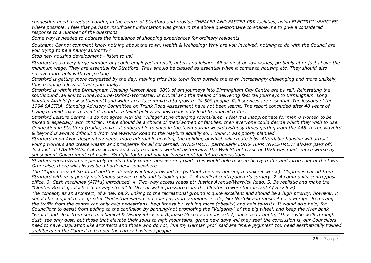*congestion need to reduce parking in the centre of Stratford and provide CHEAPER AND FASTER P&R facilities, using ELECTRIC VEHICLES where possible. I feel that perhaps insufficient information was given in the above questionnaire to enable me to give a considered response to a number of the questions.*

*Some way is needed to address the imbalance of shopping experiences for ordinary residents.*

*Southam; Cannot comment know nothing about the town. Health & Wellbeing: Why are you involved, nothing to do with the Council are you trying to be a nanny authority?*

*Stop new housing development - listen to us!*

*Stratford has a very large number of people employed in retail, hotels and leisure. All or most on low wages, probably at or just above the minimum wage. They are essential for Stratford. They should be classed as essential when it comes to housing etc. They should also receive more help with car parking*

*Stratford is getting more congested by the day, making trips into town from outside the town increasingly challenging and more unlikely, thus bringing a loss of trade potentially.*

*Stratford is within the Birmingham Housing Market Area. 38% of am journeys into Birmingham City Centre are by rail. Reinstating the southbound rail link to Honeybourne-Oxford-Worcester, is critical and the means of delivering fast rail journeys to Birmingham. Long Marston Airfield (new settlement) and wider area is committed to grow to 24,500 people. Rail services are essential. The lessons of the 1994 SACTRA, Standing Advisory Committee on Trunk Road Assessment have not been learnt. The report concluded after 40 years of trying to build roads to meet demand is a failed policy, as new roads only lead to induced traffic.*

*Stratford Leisure Centre - I do not agree with the "Village" style changing rooms/area. I feel it is inappropriate for men & women to be mixed & especially with children. There should be a choice of men/women or families, then everyone could decide which they wish to use. Congestion in Stratford (traffic) makes it unbearable to shop in the town during weekdays/busy times getting from the A46 to the Maybird & beyond is always difficult & from the Warwick Road to the Maybird equally so. I think it was poorly planned*

*Stratford upon Avon desperately needs more affordable housing, the building of which will create jobs. Affordable housing will attract young workers and create wealth and prosperity for all concerned. INVESTMENT particularly LONG TERM INVESTMENT always pays off. Just look at LAS VEGAS. Cut backs and austerity has never worked historically. The Wall Street crash of 1929 was made much worse by subsequent Government cut backs. So fight tooth and nail for investment for future generations.*

*Stratford -upon-Avon desperately needs a fully comprehensive ring road! This would help to keep heavy traffic and lorries out of the town. Otherwise, there will always be a bottleneck somewhere*

*The Clopton area of Stratford north is already woefully provided for (without the new housing to make it worse). Clopton is cut off from Stratford with very poorly maintained service roads and is looking for: 1. A medical centre/doctor's surgery. 2. A community centre/post office. 3. Cash machines (ATM's) introduced. 4. Two-way access roads at: Justins Avenue/Warwick Road. 5. Be realistic and make the "Clopton Road" gridlock a "one way street" 6. Decent water pressure from the Clopton Tower storage tank? (Very low)*

*The concept, as an architect, of a new park, linking to the recreational ground is quite excellent and should be a high priority; however, it should be coupled to far greater "Pedestrianisation" on a larger, more ambitious scale, like Norfolk and most cities in Europe. Removing the traffic from the centre can only help pedestrians, help fitness by walking more (obesity) and help tourists. It would also help, for Councillors to desist from adding to the confusion by banning/not promoting the "Vulgarity" of the big wheel, and keep the river bank "virgin" and clear from such mechanical & Disney intrusion. Alphase Mucha a famous artist, once said I quote, "Those who walk through dust, see only dust, but those that elevate their souls to high mountains, grand new days will they see" the conclusion is, our Councillors need to have inspiration like architects and those who do not, like my German prof' said are "Mere pygmies" You need aesthetically trained architects on the Council to temper the career business people*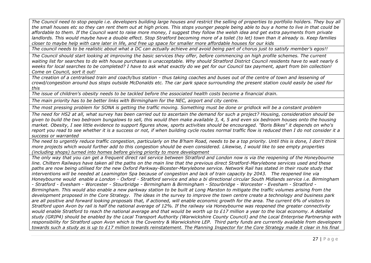*The Council need to stop people i.e. developers building large houses and restrict the selling of properties to portfolio holders. They buy all the small houses etc so they can rent them out at high prices. This stops younger people being able to buy a home to live in that could be affordable to them. If the Council want to raise more money, I suggest they follow the welsh idea and get extra payments from private landlords. This would maybe have a double effect. Stop Stratford becoming more of a toilet (to let) town than it already is. Keep families closer to maybe help with care later in life, and free up space for smaller more affordable houses for our kids*

*The council needs to be realistic about what a DC can actually achieve and avoid being part of chorus just to satisfy member's egos!!* 

*The Council should start looking at improving the basic services they offer, before commencing on high profile schemes. The current waiting list for searches to do with house purchases is unacceptable. Why should Stratford District Council residents have to wait nearly 6 weeks for local searches to be completed? I have to ask what exactly do we get for our Council tax payment, apart from bin collection! Come on Council, sort it out!*

*The creation of a centralised train and coach/bus station - thus taking coaches and buses out of the centre of town and lessening of crowd/congestion around bus stops outside McDonalds etc. The car park space surrounding the present station could easily be used for this*

*The issue of children's obesity needs to be tackled before the associated health costs become a financial drain.*

*The main priority has to be better links with Birmingham for the NEC, airport and city centre.*

*The most pressing problem for SONA is getting the traffic moving. Something must be done or gridlock will be a constant problem*

*The need for HS2 at all, what survey has been carried out to ascertain the demand for such a project? Housing, consideration should be given to build the two bedroom bungalows to sell, this would then make available 3, 4, 5 and even six bedroom houses onto the housing market. Obesity, I see little evidence to support figures show, sports activities should be encouraged. "Boris Bikes" it depends on who's report you read to see whether it is a success or not, if when building cycle routes normal traffic flow is reduced then I do not consider it a success or warranted*

*The need to urgently reduce traffic congestion, particularly on the B'ham Road, needs to be a top priority. Until this is done, I don't think more projects which would further add to this congestion should be even considered. Likewise, I would like to see empty properties (including shops) turned into homes before giving priority to more development*

*The only way that you can get a frequent direct rail service between Stratford and London now is via the reopening of the Honeybourne line. Chiltern Railways have taken all the paths on the main line that the previous direct Stratford-Marylebone services used and these paths are now being utilised for the new Oxford Parkway-Bicester-Marylebone service. Network Rail has stated in their route study that interventions will be needed at Leamington Spa because of congestion and lack of train capacity by 2043. The reopened line via Honeybourne would enable a London - Oxford - Stratford service and also a bi directional circular South Midlands service i.e. Birmingham - Stratford - Evesham - Worcester - Stourbridge - Birmingham & Birmingham - Stourbridge - Worcester - Evesham - Stratford - Birmingham. This would also enable a new parkway station to be built at Long Marston to mitigate the traffic volumes arising from the development proposed in the Core Strategy. The ideas in the survey to improve the town centre create a technology and business park are all positive and forward looking proposals that, if actioned, will enable economic growth for the area. The current 6% of visitors to Stratford upon Avon by rail is half the national average of 12%. If the railway via Honeybourne was reopened the greater connectivity would enable Stratford to reach the national average and that would be worth up to £17 million a year to the local economy. A detailed study (GRIP4) should be enabled by the Local Transport Authority (Warwickshire County Council) and the Local Enterprise Partnership with responsibility for Stratford upon Avon which is the Coventry & Warwickshire LEP. Third party funds are currently available from developers towards such a study as is up to £17 million towards reinstatement. The Planning Inspector for the Core Strategy made it clear in his final*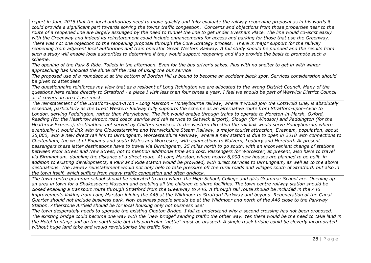*report in June 2016 that the local authorities need to move quickly and fully evaluate the railway reopening proposal as in his words it could provide a significant part towards solving the towns traffic congestion. Concerns and objections from those properties near to the route of a reopened line are largely assuaged by the need to tunnel the line to get under Evesham Place. The line would co-exist easily with the Greenway and indeed its reinstatement could include enhancements for access and parking for those that use the Greenway. There was not one objection to the reopening proposal through the Core Strategy process. There is major support for the railway reopening from adjacent local authorities and train operator Great Western Railway. A full study should be pursued and the results from such a study will enable local authorities to determine if they would support reopening and if so provide the basis to promote such a scheme.*

*The opening of the Park & Ride. Toilets in the afternoon. Even for the bus driver's sakes. Plus with no shelter to get in with winter approaching has knocked the shine off the idea of using the bus service*

*The proposed use of a roundabout at the bottom of Bordon Hill is bound to become an accident black spot. Services consideration should be given to attendees*

*The questionnaire reinforces my view that as a resident of Long Itchington we are allocated to the wrong District Council. Many of the questions here relate directly to Stratford - a place I visit less than four times a year. I feel we should be part of Warwick District Council as it covers an area I use most.*

*The reinstatement of the Stratford-upon-Avon - Long Marston - Honeybourne railway, where it would join the Cotswold Line, is absolutely essential, particularly as the Great Western Railway fully supports the scheme as an alternative route from Stratford-upon-Avon to London, serving Paddington, rather than Marylebone. The link would enable through trains to operate to Moreton-in-Marsh, Oxford, Reading (for the Heathrow airport road coach service and rail service to Gatwick airport), Slough (for Windsor) and Paddington (for the Heathrow Express), destinations not served by Chiltern services. In the western direction the rail link would serve Honeybourne, where eventually it would link with the Gloucestershire and Warwickshire Steam Railway, a major tourist attraction, Evesham, population, about 25,000, with a new direct rail link to Birmingham, Worcestershire Parkway, where a new station is due to open in 2018 with connections to Cheltenham, the west of England and south Wales and Worcester, with connections to Malvern, Ledbury and Hereford. At present passengers these latter destinations have to travel via Birmingham, 25 miles north to go south, with an inconvenient change of stations between Moor Street and New Street, not to mention additional time and cost. Passengers for Worcester, at present, also have to travel via Birmingham, doubling the distance of a direct route. At Long Marston, where nearly 6,000 new houses are planned to be built, in addition to existing developments, a Park and Ride station would be provided, with direct services to Birmingham, as well as to the above destinations. The railway reinstatement would not only help to take pressure off the rural roads and villages south of Stratford, but also in the town itself, which suffers from heavy traffic congestion and often gridlock.*

*The town centre grammar school should be relocated to area where the High School, College and girls Grammar School are. Opening up an area in town for a Shakespeare Museum and enabling all the children to share facilities. The town centre railway station should be closed enabling a transport route through Stratford from the Greenway to A46. A through rail route should be included in the A46 improvements linking from Long Marston joining the A46 at the Wildmoor to Stratford Parkway and beyond. Regeneration of the Canal Quarter should not include business park. Now business people should be at the Wildmoor and north of the A46 close to the Parkway Station. Atherstone Airfield should be for local housing only not business use!*

*The town desperately needs to upgrade the existing Clopton Bridge. I fail to understand why a second crossing has not been proposed. The existing bridge could become one way with the "new bridge" sending traffic the other way. Yes there would be the need to take land in the Hotel frontage and on the south side but this particular "nettle" must be grasped. A single track bridge could be cleverly incorporated without huge land take and would revolutionise the traffic flow.*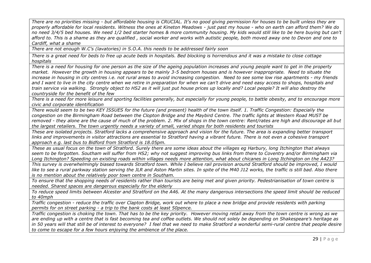*There are no priorities missing - but affordable housing is CRUCIAL. It's no good giving permission for houses to be built unless they are properly affordable for local residents. Witness the ones at Kineton Meadows - just past my house - who on earth can afford them? We do no need 3/4/5 bed houses. We need 1/2 bed starter homes & more community housing. My kids would still like to be here buying but can't afford to. This is a shame as they are qualified , social worker and works with autistic people, both moved away one to Devon and one to Cardiff, what a shame*

*There are not enough W.C's (lavatories) in S.O.A. this needs to be addressed fairly soon*

*There is a great need for beds to free up acute beds in hospitals. Bed blocking is horrendous and it was a mistake to close cottage hospitals*

*There is a need for housing for one person as the size of the ageing population increases and young people want to get in the property market. However the growth in housing appears to be mainly 3-5 bedroom houses and is however inappropriate. Need to situate the increase in housing in city centres i.e. not rural areas to avoid increasing congestion. Need to see some low rise apartments - my friends*  and I want to live in the city centre when we retire in preparation for when we can't drive and need easy access to shops, hospitals and *train service via walking. Strongly object to HS2 as it will just put house prices up locally and? Local people? It will also destroy the countryside for the benefit of the few*

*There is a need for more leisure and sporting facilities generally, but especially for young people, to battle obesity, and to encourage more civic and corporate identification*

*There would seem to be two KEY ISSUES for the future (and present) health of the town itself. 1. Traffic Congestion: Especially the congestion on the Birmingham Road between the Clopton Bridge and the Maybird Centre. The traffic lights at Western Road MUST be removed - they alone are the cause of much of the problem. 2. Mix of shops in the town centre: Rent/rates are high and discourage all but the largest retailers. The town urgently needs a variety of small, varied shops for both residents and tourists*

*These are isolated projects. Stratford lacks a comprehensive approach and vision for the future. The area is expanding better transport*  links and improvements in visitor attractions are essential to Stratford having a vibrant future. There is not even a cohesive transport *approach e.g. last bus to Bidford from Stratford is 18.05pm.*

*These as usual focus on the town of Stratford. Surely there are some ideas about the villages eg Harbury, long Itchington that always seem to be forgotten. Southam will suffer from HS2; why not suggest improving bus links from there to Coventry and/or Birmingham via Long Itchington? Speeding on existing roads within villages needs more attention, what about chicanes in Long Itchington on the A423?*

*This survey is overwhelmingly biased towards Stratford town. While I believe rail provision around Stratford should be improved, I would*  like to see a rural parkway station serving the JLR and Aston Martin sites. In spite of the M40 J12 works, the traffic is still bad. Also there *is no mention about the relatively poor town centre in Southam.*

*To ensure that the shopping needs of residents rather than tourists are being met and given priority. Pedestrianisation of town centre is needed. Shared spaces are dangerous especially for the elderly*

*To reduce speed limits between Alcester and Stratford on the A46. At the many dangerous intersections the speed limit should be reduced to 40mph*

*Traffic congestion - reduce the traffic over Clapton Bridge, work out where to place a new bridge and provide residents with parking permits for on street parking - a trip to the bank costs at least 50pence.*

*Traffic congestion is choking the town. That has to be the key priority. However moving retail away from the town centre is wrong as we are ending up with a centre that is fast becoming tea and coffee outlets. We should not solely be depending on Shakespeare's heritage as*  in 50 years will that still be of interest to everyone? I feel that we need to make Stratford a wonderful semi-rural centre that people desire *to come to escape for a few hours enjoying the ambience of the place.*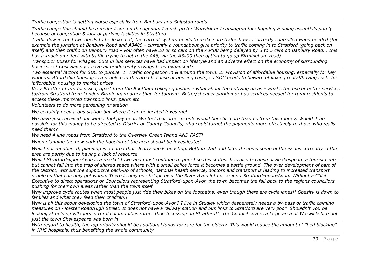*Traffic congestion is getting worse especially from Banbury and Shipston roads*

*Traffic congestion should be a major issue on the agenda. I much prefer Warwick or Leamington for shopping & doing essentials purely because of congestion & lack of parking facilities in Stratford*

*Traffic flow in the town needs to be looked at, the current system needs to make sure traffic flow is correctly controlled when needed (for example the junction at Banbury Road and A3400 - currently a roundabout give priority to traffic coming in to Stratford (going back on itself) and then traffic on Banbury road - you often have 20 or so cars on the A3400 being delayed by 3 to 5 cars on Banbury Road... this has a knock on effect with traffic trying to get to the A46, via the A3400 then opting to go up Birmingham road).*

*Transport: Buses for villages. Cuts in bus services have had impact on lifestyle and an adverse effect on the economy of surrounding businesses! Cost Savings: have all productivity savings been exhausted?*

*Two essential factors for SDC to pursue. 1. Traffic congestion in & around the town. 2. Provision of affordable housing, especially for key workers. Affordable housing is a problem in this area because of housing costs, so SDC needs to beware of linking rental/buying costs for 'affordable' housing to market prices*

*Very Stratford town focussed, apart from the Southam college question - what about the outlying areas - what's the use of better services to/from Stratford from London Birmingham other than for tourism. Better/cheaper parking or bus services needed for rural residents to access these improved transport links, parks etc*

*Volunteers to do more gardening nr station*

*We certainly need a bus station but where it can be located foxes me!*

We have just received our winter fuel payment. We feel that other people would benefit more than us from this money. Would it be *possible for this money to be directed to District or County Councils, who could target the payments more effectively to those who really need them?*

*We need 4 line roads from Stratford to the Oversley Green Island AND FAST!*

*When planning the new park the flooding of the area should be investigated*

*Whilst not mentioned, planning is an area that clearly needs boosting. Both in staff and bite. It seems some of the issues currently in the area are partly due to having a lack of resource*

*Whilst Stratford-upon-Avon is a market town and must continue to prioritise this status. It is also because of Shakespeare a tourist centre*  but cannot fall into the trap of shared space where with a small police force it becomes a battle ground. The over development of part of *the District, without the supportive back-up of schools, national health service, doctors and transport is leading to increased transport problems that can only get worse. There is only one bridge over the River Avon into or around Stratford-upon-Avon. Without a Chief Executive to direct operations or Councillors representing Stratford-upon-Avon the town becomes the fall back to the regions councillors pushing for their own areas rather than the town itself*

*Why improve cycle routes when most people just ride their bikes on the footpaths, even though there are cycle lanes!! Obesity is down to families and what they feed their children!!*

*Why is all this about developing the town of Stratford-upon-Avon? I live in Studley which desperately needs a by-pass or traffic calming measures on Alcester Road/High Street. It does not have a railway station and bus links to Stratford are very poor. Shouldn't you be looking at helping villagers in rural communities rather than focussing on Stratford!!! The Council covers a large area of Warwickshire not just the town Shakespeare was born in*

*With regard to health, the top priority should be additional funds for care for the elderly. This would reduce the amount of "bed blocking" in NHS hospitals, thus benefiting the whole community*